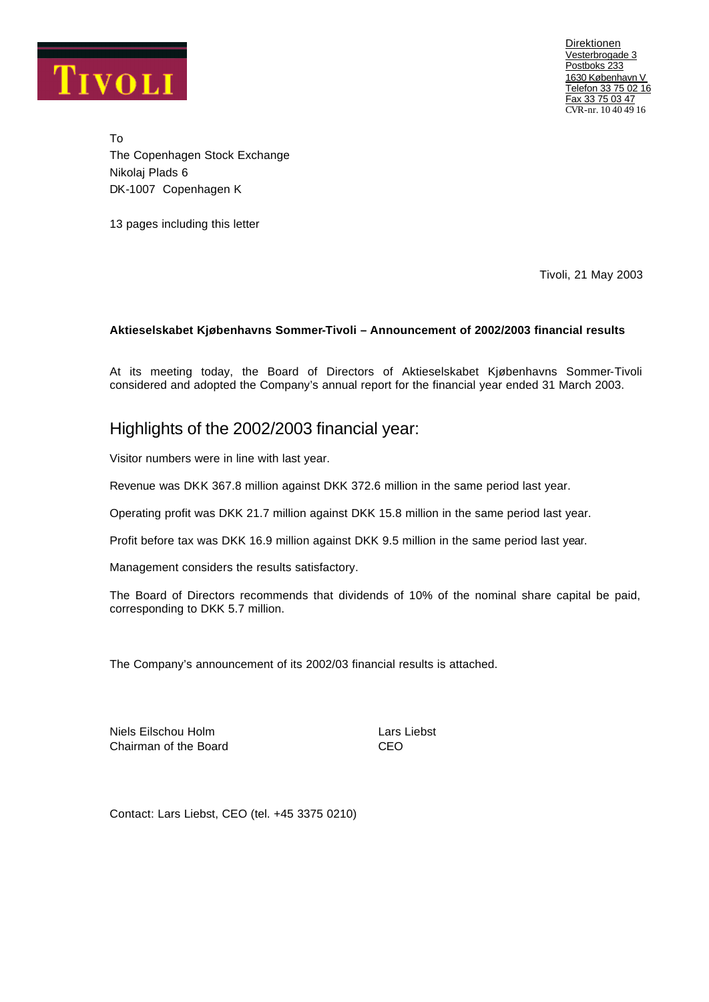

Direktionen Vesterbrogade 3 Postboks 233 1630 København V Telefon 33 75 02 16 Fax 33 75 03 47 CVR-nr. 10 40 49 16

To The Copenhagen Stock Exchange Nikolaj Plads 6 DK-1007 Copenhagen K

13 pages including this letter

Tivoli, 21 May 2003

### **Aktieselskabet Kjøbenhavns Sommer-Tivoli – Announcement of 2002/2003 financial results**

At its meeting today, the Board of Directors of Aktieselskabet Kjøbenhavns Sommer-Tivoli considered and adopted the Company's annual report for the financial year ended 31 March 2003.

# Highlights of the 2002/2003 financial year:

Visitor numbers were in line with last year.

Revenue was DKK 367.8 million against DKK 372.6 million in the same period last year.

Operating profit was DKK 21.7 million against DKK 15.8 million in the same period last year.

Profit before tax was DKK 16.9 million against DKK 9.5 million in the same period last year.

Management considers the results satisfactory.

The Board of Directors recommends that dividends of 10% of the nominal share capital be paid, corresponding to DKK 5.7 million.

The Company's announcement of its 2002/03 financial results is attached.

Niels Eilschou Holm Lars Liebst Chairman of the Board CEO

Contact: Lars Liebst, CEO (tel. +45 3375 0210)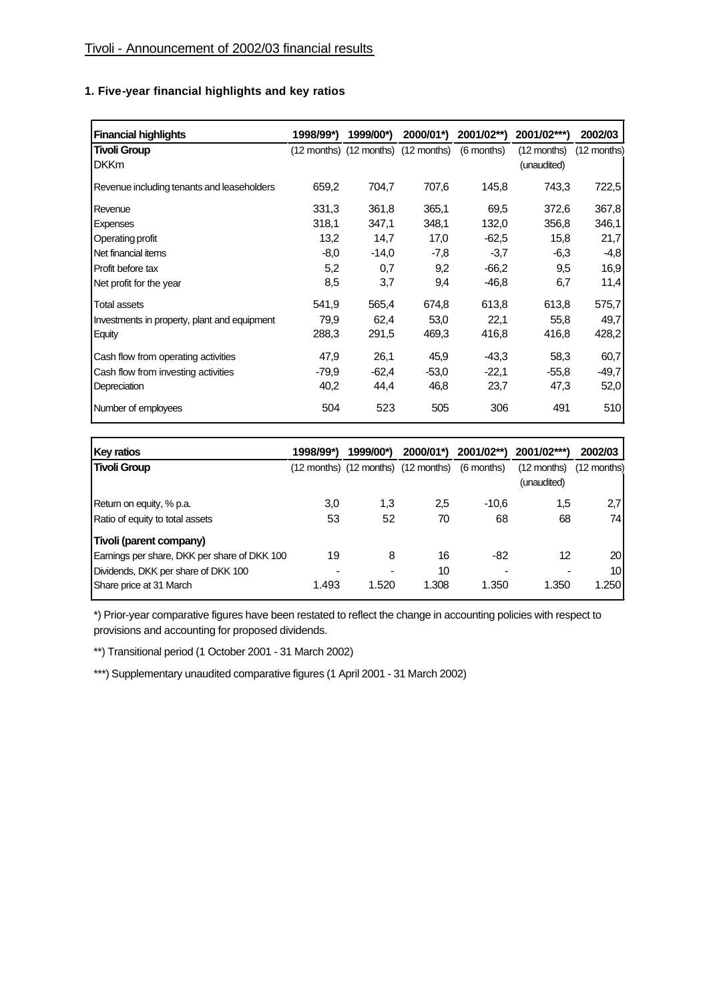## **1. Five-year financial highlights and key ratios**

| <b>Financial highlights</b>                  | 1998/99*) | 1999/00*) | 2000/01*)                           | $2001/02**$ | 2001/02***)   | 2002/03     |
|----------------------------------------------|-----------|-----------|-------------------------------------|-------------|---------------|-------------|
| <b>Tivoli Group</b>                          |           |           | (12 months) (12 months) (12 months) | (6 months)  | $(12$ months) | (12 months) |
| <b>DKKm</b>                                  |           |           |                                     |             | (unaudited)   |             |
| Revenue including tenants and leaseholders   | 659,2     | 704,7     | 707,6                               | 145,8       | 743,3         | 722,5       |
| Revenue                                      | 331,3     | 361,8     | 365,1                               | 69,5        | 372,6         | 367,8       |
| <b>Expenses</b>                              | 318,1     | 347,1     | 348,1                               | 132,0       | 356,8         | 346,1       |
| Operating profit                             | 13,2      | 14,7      | 17,0                                | $-62.5$     | 15,8          | 21,7        |
| Net financial items                          | $-8,0$    | $-14,0$   | -7,8                                | $-3,7$      | $-6,3$        | $-4,8$      |
| Profit before tax                            | 5,2       | 0,7       | 9,2                                 | $-66.2$     | 9,5           | 16,9        |
| Net profit for the year                      | 8,5       | 3,7       | 9,4                                 | $-46,8$     | 6,7           | 11,4        |
| <b>Total assets</b>                          | 541,9     | 565,4     | 674,8                               | 613,8       | 613,8         | 575,7       |
| Investments in property, plant and equipment | 79,9      | 62,4      | 53,0                                | 22,1        | 55,8          | 49,7        |
| Equity                                       | 288,3     | 291,5     | 469,3                               | 416,8       | 416,8         | 428,2       |
| Cash flow from operating activities          | 47,9      | 26,1      | 45,9                                | $-43.3$     | 58,3          | 60,7        |
| Cash flow from investing activities          | $-79.9$   | $-62,4$   | $-53.0$                             | $-22,1$     | $-55.8$       | $-49,7$     |
| Depreciation                                 | 40,2      | 44,4      | 46,8                                | 23,7        | 47,3          | 52,0        |
| Number of employees                          | 504       | 523       | 505                                 | 306         | 491           | 510         |

| <b>Key ratios</b>                            | 1998/99*) | 1999/00*) | 2000/01*)                                      | 2001/02**) | 2001/02***)   | 2002/03         |
|----------------------------------------------|-----------|-----------|------------------------------------------------|------------|---------------|-----------------|
| <b>Tivoli Group</b>                          |           |           | (12 months) (12 months) (12 months) (6 months) |            | $(12$ months) | $(12$ months)   |
|                                              |           |           |                                                |            | (unaudited)   |                 |
| Return on equity, % p.a.                     | 3,0       | 1.3       | 2,5                                            | $-10.6$    | 1,5           | 2.7             |
| Ratio of equity to total assets              | 53        | 52        | 70                                             | 68         | 68            | 74              |
| Tivoli (parent company)                      |           |           |                                                |            |               |                 |
| Earnings per share, DKK per share of DKK 100 | 19        | 8         | 16                                             | -82        | 12            | 20 <sub>1</sub> |
| Dividends, DKK per share of DKK 100          | -         |           | 10                                             |            |               | 10              |
| Share price at 31 March                      | 1.493     | 1.520     | 1.308                                          | 1.350      | 1.350         | 1.250           |

\*) Prior-year comparative figures have been restated to reflect the change in accounting policies with respect to provisions and accounting for proposed dividends.

\*\*) Transitional period (1 October 2001 - 31 March 2002)

\*\*\*) Supplementary unaudited comparative figures (1 April 2001 - 31 March 2002)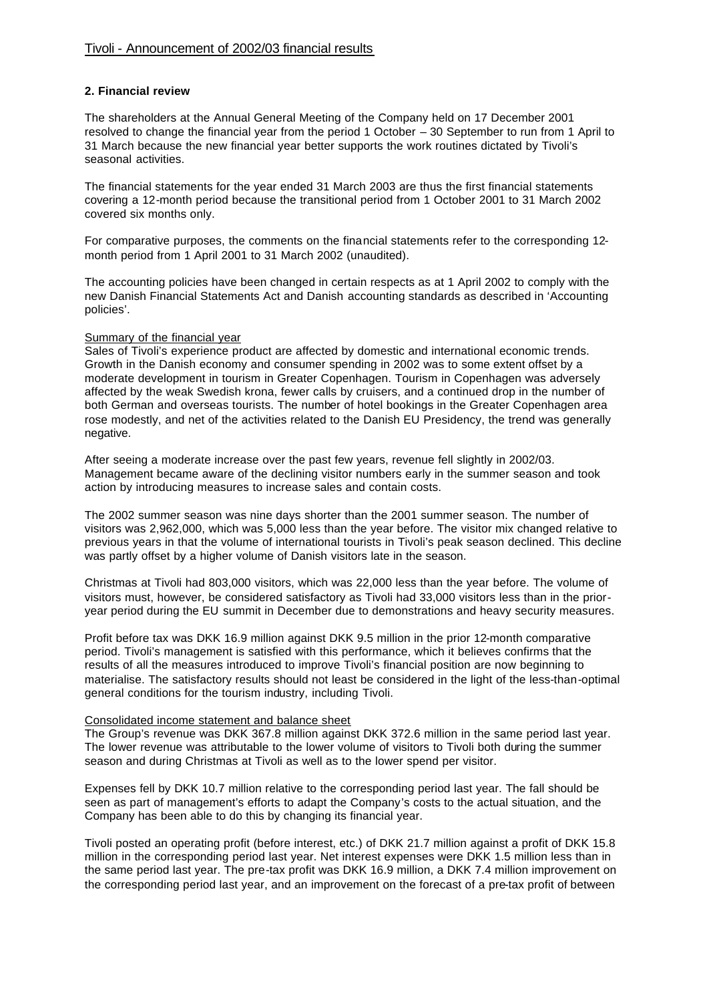### **2. Financial review**

The shareholders at the Annual General Meeting of the Company held on 17 December 2001 resolved to change the financial year from the period 1 October – 30 September to run from 1 April to 31 March because the new financial year better supports the work routines dictated by Tivoli's seasonal activities.

The financial statements for the year ended 31 March 2003 are thus the first financial statements covering a 12-month period because the transitional period from 1 October 2001 to 31 March 2002 covered six months only.

For comparative purposes, the comments on the financial statements refer to the corresponding 12 month period from 1 April 2001 to 31 March 2002 (unaudited).

The accounting policies have been changed in certain respects as at 1 April 2002 to comply with the new Danish Financial Statements Act and Danish accounting standards as described in 'Accounting policies'.

#### Summary of the financial year

Sales of Tivoli's experience product are affected by domestic and international economic trends. Growth in the Danish economy and consumer spending in 2002 was to some extent offset by a moderate development in tourism in Greater Copenhagen. Tourism in Copenhagen was adversely affected by the weak Swedish krona, fewer calls by cruisers, and a continued drop in the number of both German and overseas tourists. The number of hotel bookings in the Greater Copenhagen area rose modestly, and net of the activities related to the Danish EU Presidency, the trend was generally negative.

After seeing a moderate increase over the past few years, revenue fell slightly in 2002/03. Management became aware of the declining visitor numbers early in the summer season and took action by introducing measures to increase sales and contain costs.

The 2002 summer season was nine days shorter than the 2001 summer season. The number of visitors was 2,962,000, which was 5,000 less than the year before. The visitor mix changed relative to previous years in that the volume of international tourists in Tivoli's peak season declined. This decline was partly offset by a higher volume of Danish visitors late in the season.

Christmas at Tivoli had 803,000 visitors, which was 22,000 less than the year before. The volume of visitors must, however, be considered satisfactory as Tivoli had 33,000 visitors less than in the prioryear period during the EU summit in December due to demonstrations and heavy security measures.

Profit before tax was DKK 16.9 million against DKK 9.5 million in the prior 12-month comparative period. Tivoli's management is satisfied with this performance, which it believes confirms that the results of all the measures introduced to improve Tivoli's financial position are now beginning to materialise. The satisfactory results should not least be considered in the light of the less-than-optimal general conditions for the tourism industry, including Tivoli.

#### Consolidated income statement and balance sheet

The Group's revenue was DKK 367.8 million against DKK 372.6 million in the same period last year. The lower revenue was attributable to the lower volume of visitors to Tivoli both during the summer season and during Christmas at Tivoli as well as to the lower spend per visitor.

Expenses fell by DKK 10.7 million relative to the corresponding period last year. The fall should be seen as part of management's efforts to adapt the Company's costs to the actual situation, and the Company has been able to do this by changing its financial year.

Tivoli posted an operating profit (before interest, etc.) of DKK 21.7 million against a profit of DKK 15.8 million in the corresponding period last year. Net interest expenses were DKK 1.5 million less than in the same period last year. The pre-tax profit was DKK 16.9 million, a DKK 7.4 million improvement on the corresponding period last year, and an improvement on the forecast of a pre-tax profit of between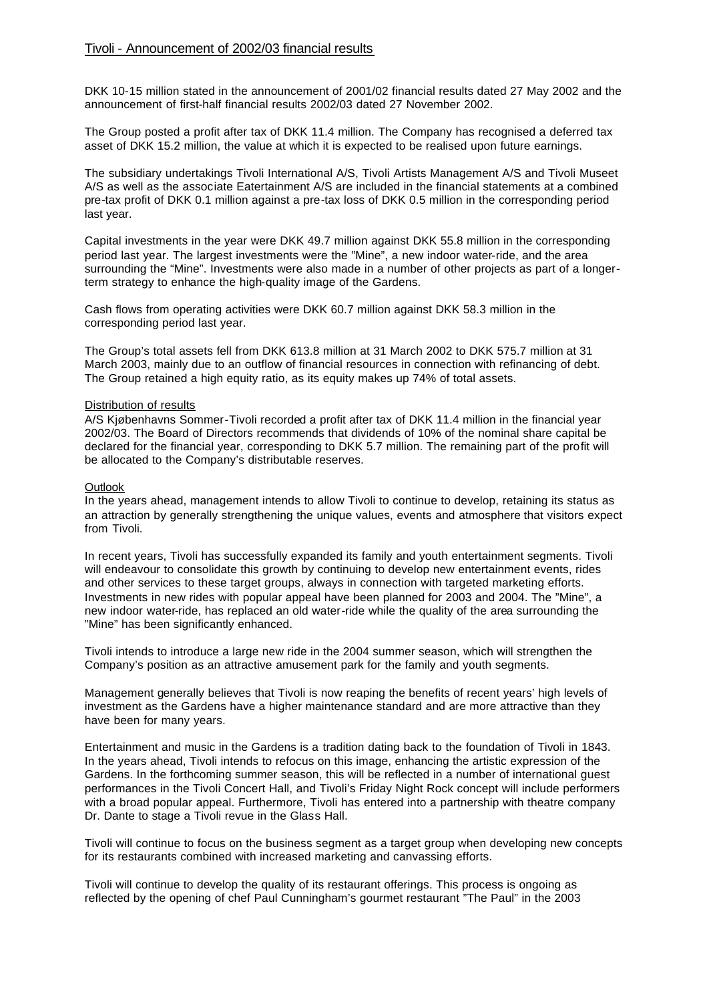DKK 10-15 million stated in the announcement of 2001/02 financial results dated 27 May 2002 and the announcement of first-half financial results 2002/03 dated 27 November 2002.

The Group posted a profit after tax of DKK 11.4 million. The Company has recognised a deferred tax asset of DKK 15.2 million, the value at which it is expected to be realised upon future earnings.

The subsidiary undertakings Tivoli International A/S, Tivoli Artists Management A/S and Tivoli Museet A/S as well as the associate Eatertainment A/S are included in the financial statements at a combined pre-tax profit of DKK 0.1 million against a pre-tax loss of DKK 0.5 million in the corresponding period last year.

Capital investments in the year were DKK 49.7 million against DKK 55.8 million in the corresponding period last year. The largest investments were the "Mine", a new indoor water-ride, and the area surrounding the "Mine". Investments were also made in a number of other projects as part of a longerterm strategy to enhance the high-quality image of the Gardens.

Cash flows from operating activities were DKK 60.7 million against DKK 58.3 million in the corresponding period last year.

The Group's total assets fell from DKK 613.8 million at 31 March 2002 to DKK 575.7 million at 31 March 2003, mainly due to an outflow of financial resources in connection with refinancing of debt. The Group retained a high equity ratio, as its equity makes up 74% of total assets.

### Distribution of results

A/S Kjøbenhavns Sommer-Tivoli recorded a profit after tax of DKK 11.4 million in the financial year 2002/03. The Board of Directors recommends that dividends of 10% of the nominal share capital be declared for the financial year, corresponding to DKK 5.7 million. The remaining part of the profit will be allocated to the Company's distributable reserves.

#### **Outlook**

In the years ahead, management intends to allow Tivoli to continue to develop, retaining its status as an attraction by generally strengthening the unique values, events and atmosphere that visitors expect from Tivoli.

In recent years, Tivoli has successfully expanded its family and youth entertainment segments. Tivoli will endeavour to consolidate this growth by continuing to develop new entertainment events, rides and other services to these target groups, always in connection with targeted marketing efforts. Investments in new rides with popular appeal have been planned for 2003 and 2004. The "Mine", a new indoor water-ride, has replaced an old water-ride while the quality of the area surrounding the "Mine" has been significantly enhanced.

Tivoli intends to introduce a large new ride in the 2004 summer season, which will strengthen the Company's position as an attractive amusement park for the family and youth segments.

Management generally believes that Tivoli is now reaping the benefits of recent years' high levels of investment as the Gardens have a higher maintenance standard and are more attractive than they have been for many years.

Entertainment and music in the Gardens is a tradition dating back to the foundation of Tivoli in 1843. In the years ahead, Tivoli intends to refocus on this image, enhancing the artistic expression of the Gardens. In the forthcoming summer season, this will be reflected in a number of international guest performances in the Tivoli Concert Hall, and Tivoli's Friday Night Rock concept will include performers with a broad popular appeal. Furthermore, Tivoli has entered into a partnership with theatre company Dr. Dante to stage a Tivoli revue in the Glass Hall.

Tivoli will continue to focus on the business segment as a target group when developing new concepts for its restaurants combined with increased marketing and canvassing efforts.

Tivoli will continue to develop the quality of its restaurant offerings. This process is ongoing as reflected by the opening of chef Paul Cunningham's gourmet restaurant "The Paul" in the 2003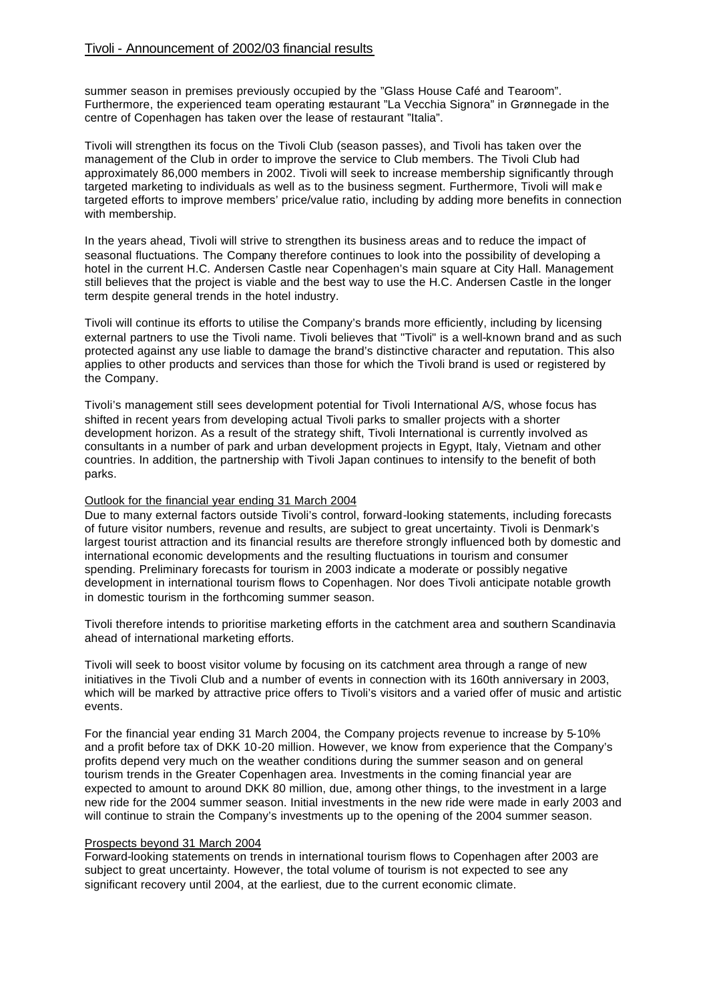summer season in premises previously occupied by the "Glass House Café and Tearoom". Furthermore, the experienced team operating restaurant "La Vecchia Signora" in Grønnegade in the centre of Copenhagen has taken over the lease of restaurant "Italia".

Tivoli will strengthen its focus on the Tivoli Club (season passes), and Tivoli has taken over the management of the Club in order to improve the service to Club members. The Tivoli Club had approximately 86,000 members in 2002. Tivoli will seek to increase membership significantly through targeted marketing to individuals as well as to the business segment. Furthermore, Tivoli will mak e targeted efforts to improve members' price/value ratio, including by adding more benefits in connection with membership.

In the years ahead, Tivoli will strive to strengthen its business areas and to reduce the impact of seasonal fluctuations. The Company therefore continues to look into the possibility of developing a hotel in the current H.C. Andersen Castle near Copenhagen's main square at City Hall. Management still believes that the project is viable and the best way to use the H.C. Andersen Castle in the longer term despite general trends in the hotel industry.

Tivoli will continue its efforts to utilise the Company's brands more efficiently, including by licensing external partners to use the Tivoli name. Tivoli believes that "Tivoli" is a well-known brand and as such protected against any use liable to damage the brand's distinctive character and reputation. This also applies to other products and services than those for which the Tivoli brand is used or registered by the Company.

Tivoli's management still sees development potential for Tivoli International A/S, whose focus has shifted in recent years from developing actual Tivoli parks to smaller projects with a shorter development horizon. As a result of the strategy shift, Tivoli International is currently involved as consultants in a number of park and urban development projects in Egypt, Italy, Vietnam and other countries. In addition, the partnership with Tivoli Japan continues to intensify to the benefit of both parks.

#### Outlook for the financial year ending 31 March 2004

Due to many external factors outside Tivoli's control, forward-looking statements, including forecasts of future visitor numbers, revenue and results, are subject to great uncertainty. Tivoli is Denmark's largest tourist attraction and its financial results are therefore strongly influenced both by domestic and international economic developments and the resulting fluctuations in tourism and consumer spending. Preliminary forecasts for tourism in 2003 indicate a moderate or possibly negative development in international tourism flows to Copenhagen. Nor does Tivoli anticipate notable growth in domestic tourism in the forthcoming summer season.

Tivoli therefore intends to prioritise marketing efforts in the catchment area and southern Scandinavia ahead of international marketing efforts.

Tivoli will seek to boost visitor volume by focusing on its catchment area through a range of new initiatives in the Tivoli Club and a number of events in connection with its 160th anniversary in 2003, which will be marked by attractive price offers to Tivoli's visitors and a varied offer of music and artistic events.

For the financial year ending 31 March 2004, the Company projects revenue to increase by 5-10% and a profit before tax of DKK 10-20 million. However, we know from experience that the Company's profits depend very much on the weather conditions during the summer season and on general tourism trends in the Greater Copenhagen area. Investments in the coming financial year are expected to amount to around DKK 80 million, due, among other things, to the investment in a large new ride for the 2004 summer season. Initial investments in the new ride were made in early 2003 and will continue to strain the Company's investments up to the opening of the 2004 summer season.

#### Prospects beyond 31 March 2004

Forward-looking statements on trends in international tourism flows to Copenhagen after 2003 are subject to great uncertainty. However, the total volume of tourism is not expected to see any significant recovery until 2004, at the earliest, due to the current economic climate.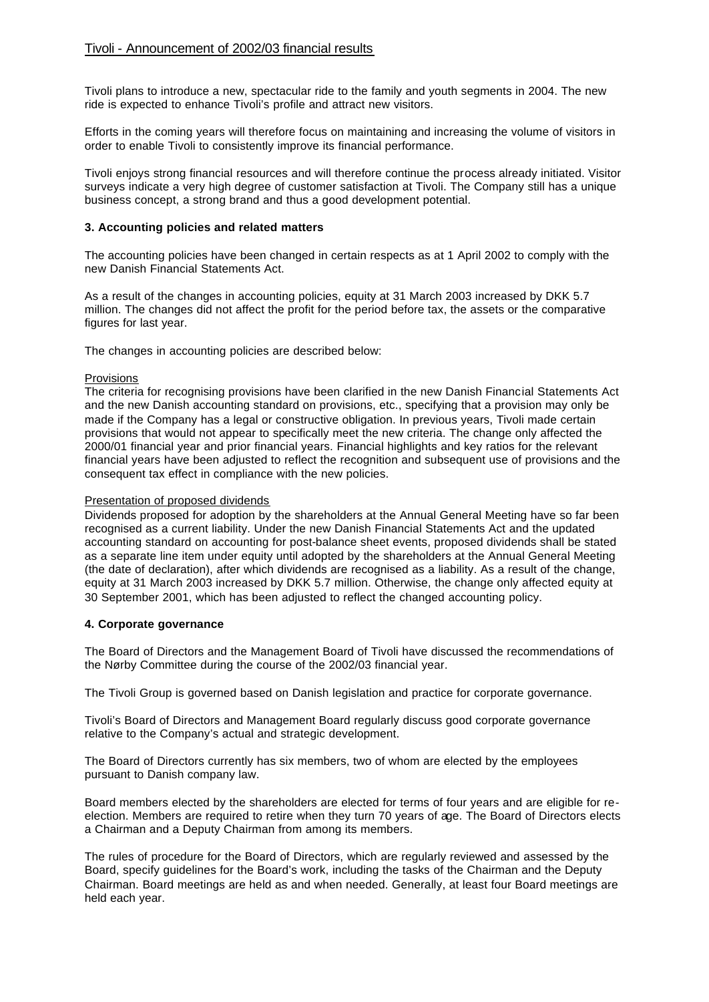Tivoli plans to introduce a new, spectacular ride to the family and youth segments in 2004. The new ride is expected to enhance Tivoli's profile and attract new visitors.

Efforts in the coming years will therefore focus on maintaining and increasing the volume of visitors in order to enable Tivoli to consistently improve its financial performance.

Tivoli enjoys strong financial resources and will therefore continue the process already initiated. Visitor surveys indicate a very high degree of customer satisfaction at Tivoli. The Company still has a unique business concept, a strong brand and thus a good development potential.

### **3. Accounting policies and related matters**

The accounting policies have been changed in certain respects as at 1 April 2002 to comply with the new Danish Financial Statements Act.

As a result of the changes in accounting policies, equity at 31 March 2003 increased by DKK 5.7 million. The changes did not affect the profit for the period before tax, the assets or the comparative figures for last year.

The changes in accounting policies are described below:

#### **Provisions**

The criteria for recognising provisions have been clarified in the new Danish Financial Statements Act and the new Danish accounting standard on provisions, etc., specifying that a provision may only be made if the Company has a legal or constructive obligation. In previous years, Tivoli made certain provisions that would not appear to specifically meet the new criteria. The change only affected the 2000/01 financial year and prior financial years. Financial highlights and key ratios for the relevant financial years have been adjusted to reflect the recognition and subsequent use of provisions and the consequent tax effect in compliance with the new policies.

#### Presentation of proposed dividends

Dividends proposed for adoption by the shareholders at the Annual General Meeting have so far been recognised as a current liability. Under the new Danish Financial Statements Act and the updated accounting standard on accounting for post-balance sheet events, proposed dividends shall be stated as a separate line item under equity until adopted by the shareholders at the Annual General Meeting (the date of declaration), after which dividends are recognised as a liability. As a result of the change, equity at 31 March 2003 increased by DKK 5.7 million. Otherwise, the change only affected equity at 30 September 2001, which has been adjusted to reflect the changed accounting policy.

#### **4. Corporate governance**

The Board of Directors and the Management Board of Tivoli have discussed the recommendations of the Nørby Committee during the course of the 2002/03 financial year.

The Tivoli Group is governed based on Danish legislation and practice for corporate governance.

Tivoli's Board of Directors and Management Board regularly discuss good corporate governance relative to the Company's actual and strategic development.

The Board of Directors currently has six members, two of whom are elected by the employees pursuant to Danish company law.

Board members elected by the shareholders are elected for terms of four years and are eligible for reelection. Members are required to retire when they turn 70 years of age. The Board of Directors elects a Chairman and a Deputy Chairman from among its members.

The rules of procedure for the Board of Directors, which are regularly reviewed and assessed by the Board, specify guidelines for the Board's work, including the tasks of the Chairman and the Deputy Chairman. Board meetings are held as and when needed. Generally, at least four Board meetings are held each year.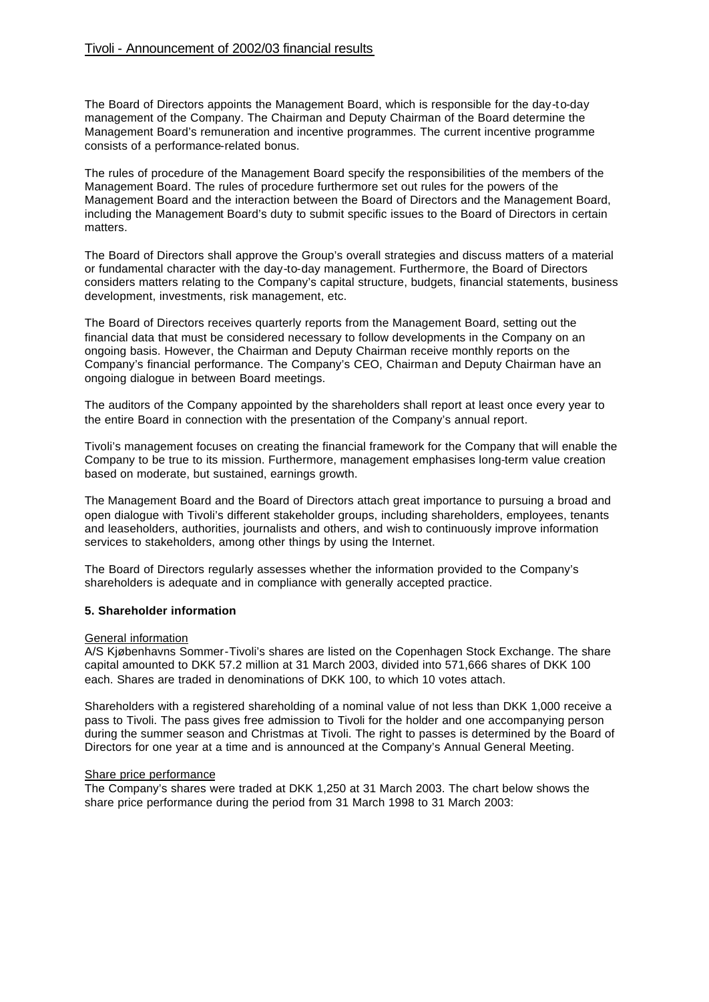The Board of Directors appoints the Management Board, which is responsible for the day-to-day management of the Company. The Chairman and Deputy Chairman of the Board determine the Management Board's remuneration and incentive programmes. The current incentive programme consists of a performance-related bonus.

The rules of procedure of the Management Board specify the responsibilities of the members of the Management Board. The rules of procedure furthermore set out rules for the powers of the Management Board and the interaction between the Board of Directors and the Management Board, including the Management Board's duty to submit specific issues to the Board of Directors in certain matters.

The Board of Directors shall approve the Group's overall strategies and discuss matters of a material or fundamental character with the day-to-day management. Furthermore, the Board of Directors considers matters relating to the Company's capital structure, budgets, financial statements, business development, investments, risk management, etc.

The Board of Directors receives quarterly reports from the Management Board, setting out the financial data that must be considered necessary to follow developments in the Company on an ongoing basis. However, the Chairman and Deputy Chairman receive monthly reports on the Company's financial performance. The Company's CEO, Chairman and Deputy Chairman have an ongoing dialogue in between Board meetings.

The auditors of the Company appointed by the shareholders shall report at least once every year to the entire Board in connection with the presentation of the Company's annual report.

Tivoli's management focuses on creating the financial framework for the Company that will enable the Company to be true to its mission. Furthermore, management emphasises long-term value creation based on moderate, but sustained, earnings growth.

The Management Board and the Board of Directors attach great importance to pursuing a broad and open dialogue with Tivoli's different stakeholder groups, including shareholders, employees, tenants and leaseholders, authorities, journalists and others, and wish to continuously improve information services to stakeholders, among other things by using the Internet.

The Board of Directors regularly assesses whether the information provided to the Company's shareholders is adequate and in compliance with generally accepted practice.

#### **5. Shareholder information**

#### General information

A/S Kjøbenhavns Sommer-Tivoli's shares are listed on the Copenhagen Stock Exchange. The share capital amounted to DKK 57.2 million at 31 March 2003, divided into 571,666 shares of DKK 100 each. Shares are traded in denominations of DKK 100, to which 10 votes attach.

Shareholders with a registered shareholding of a nominal value of not less than DKK 1,000 receive a pass to Tivoli. The pass gives free admission to Tivoli for the holder and one accompanying person during the summer season and Christmas at Tivoli. The right to passes is determined by the Board of Directors for one year at a time and is announced at the Company's Annual General Meeting.

#### Share price performance

The Company's shares were traded at DKK 1,250 at 31 March 2003. The chart below shows the share price performance during the period from 31 March 1998 to 31 March 2003: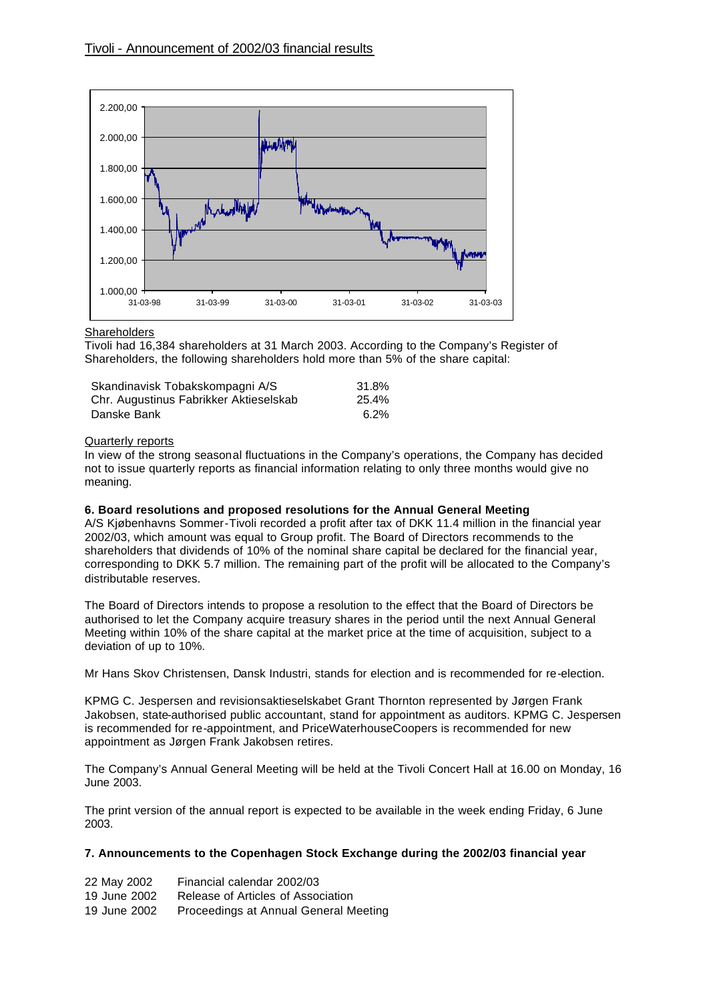

#### **Shareholders**

Tivoli had 16,384 shareholders at 31 March 2003. According to the Company's Register of Shareholders, the following shareholders hold more than 5% of the share capital:

| Skandinavisk Tobakskompagni A/S        | 31.8% |
|----------------------------------------|-------|
| Chr. Augustinus Fabrikker Aktieselskab | 25.4% |
| Danske Bank                            | 6.2%  |

#### Quarterly reports

In view of the strong seasonal fluctuations in the Company's operations, the Company has decided not to issue quarterly reports as financial information relating to only three months would give no meaning.

#### **6. Board resolutions and proposed resolutions for the Annual General Meeting**

A/S Kjøbenhavns Sommer-Tivoli recorded a profit after tax of DKK 11.4 million in the financial year 2002/03, which amount was equal to Group profit. The Board of Directors recommends to the shareholders that dividends of 10% of the nominal share capital be declared for the financial year, corresponding to DKK 5.7 million. The remaining part of the profit will be allocated to the Company's distributable reserves.

The Board of Directors intends to propose a resolution to the effect that the Board of Directors be authorised to let the Company acquire treasury shares in the period until the next Annual General Meeting within 10% of the share capital at the market price at the time of acquisition, subject to a deviation of up to 10%.

Mr Hans Skov Christensen, Dansk Industri, stands for election and is recommended for re-election.

KPMG C. Jespersen and revisionsaktieselskabet Grant Thornton represented by Jørgen Frank Jakobsen, state-authorised public accountant, stand for appointment as auditors. KPMG C. Jespersen is recommended for re-appointment, and PriceWaterhouseCoopers is recommended for new appointment as Jørgen Frank Jakobsen retires.

The Company's Annual General Meeting will be held at the Tivoli Concert Hall at 16.00 on Monday, 16 June 2003.

The print version of the annual report is expected to be available in the week ending Friday, 6 June 2003.

### **7. Announcements to the Copenhagen Stock Exchange during the 2002/03 financial year**

| 22 May 2002  | Financial calendar 2002/03            |
|--------------|---------------------------------------|
| 19 June 2002 | Release of Articles of Association    |
| 19 June 2002 | Proceedings at Annual General Meeting |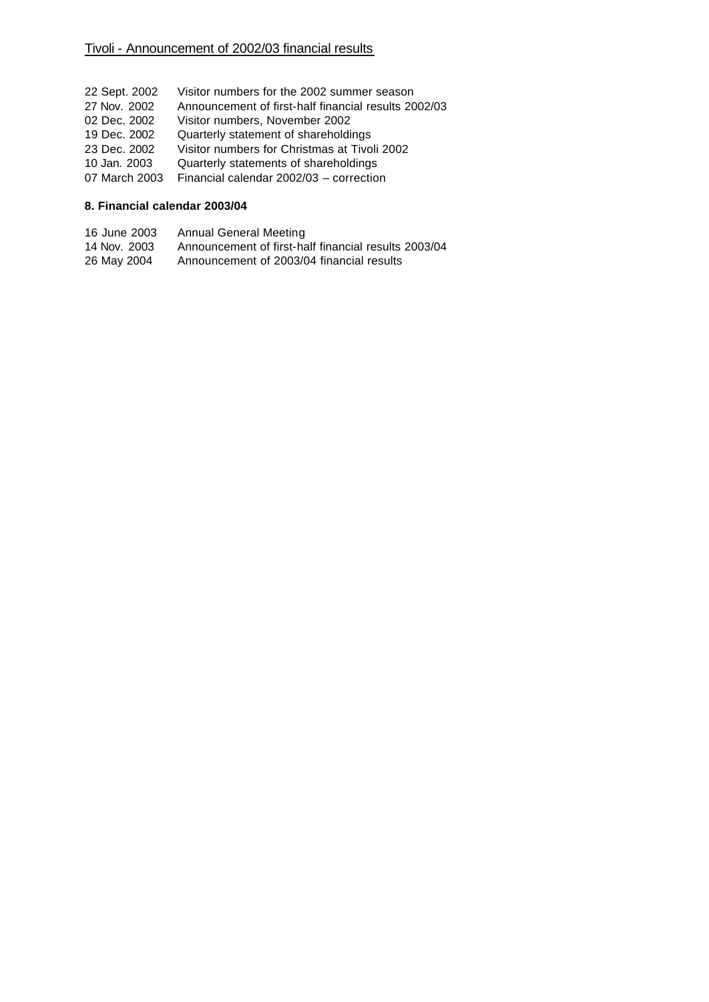- 22 Sept. 2002 Visitor numbers for the 2002 summer season 27 Nov. 2002 Announcement of first-half financial results 2002/03 02 Dec. 2002 Visitor numbers, November 2002 19 Dec. 2002 Quarterly statement of shareholdings 23 Dec. 2002 Visitor numbers for Christmas at Tivoli 2002 10 Jan. 2003 Quarterly statements of shareholdings
- 07 March 2003 Financial calendar 2002/03 correction
- 

## **8. Financial calendar 2003/04**

- 16 June 2003 Annual General Meeting<br>14 Nov. 2003 Announcement of first-ha
- Announcement of first-half financial results 2003/04
- 26 May 2004 Announcement of 2003/04 financial results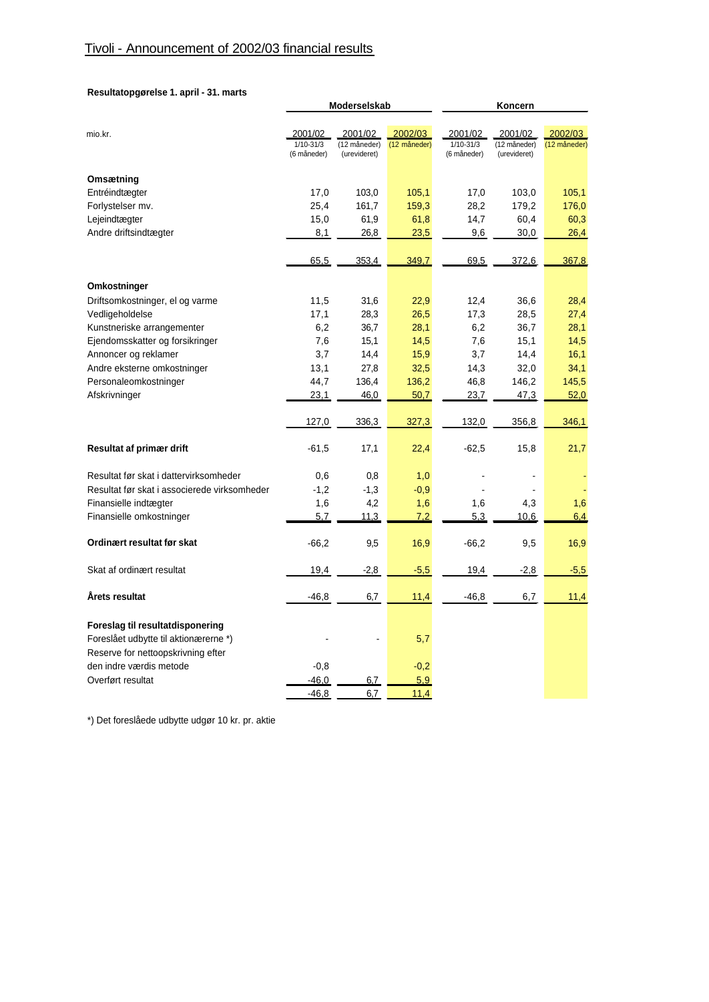### **Resultatopgørelse 1. april - 31. marts**

|                                              |             | Moderselskab            |                         | Koncern        |                          |              |  |
|----------------------------------------------|-------------|-------------------------|-------------------------|----------------|--------------------------|--------------|--|
|                                              | 2001/02     |                         |                         | 2001/02        | 2001/02                  | 2002/03      |  |
| mio.kr.                                      | 1/10-31/3   | 2001/02<br>(12 måneder) | 2002/03<br>(12 måneder) | $1/10 - 31/3$  | (12 måneder)             | (12 måneder) |  |
|                                              | (6 måneder) | (urevideret)            |                         | (6 måneder)    | (urevideret)             |              |  |
| Omsætning                                    |             |                         |                         |                |                          |              |  |
| Entréindtægter                               | 17,0        | 103,0                   | 105,1                   | 17,0           | 103,0                    | 105,1        |  |
| Forlystelser mv.                             | 25,4        | 161,7                   | 159,3                   | 28,2           | 179,2                    | 176,0        |  |
| Lejeindtægter                                | 15,0        | 61,9                    | 61,8                    | 14,7           | 60,4                     | 60,3         |  |
| Andre driftsindtægter                        | 8,1         | 26,8                    | 23,5                    | 9,6            | 30,0                     | 26,4         |  |
|                                              |             |                         |                         |                |                          |              |  |
|                                              | 65.5        | 353.4                   | 349.7                   | 69.5           | 372.6                    | 367,8        |  |
| Omkostninger                                 |             |                         |                         |                |                          |              |  |
| Driftsomkostninger, el og varme              | 11,5        | 31,6                    | 22,9                    | 12,4           | 36,6                     | 28,4         |  |
| Vedligeholdelse                              | 17,1        | 28,3                    | 26,5                    | 17,3           | 28,5                     | 27,4         |  |
| Kunstneriske arrangementer                   | 6,2         | 36,7                    | 28,1                    | 6,2            | 36,7                     | 28,1         |  |
| Ejendomsskatter og forsikringer              | 7,6         | 15,1                    | 14,5                    | 7,6            | 15,1                     | 14,5         |  |
| Annoncer og reklamer                         | 3,7         | 14,4                    | 15,9                    | 3,7            | 14,4                     | 16,1         |  |
| Andre eksterne omkostninger                  | 13,1        | 27,8                    | 32,5                    | 14,3           | 32,0                     | 34,1         |  |
| Personaleomkostninger                        | 44,7        | 136,4                   | 136,2                   | 46,8           | 146,2                    | 145,5        |  |
| Afskrivninger                                | 23,1        | 46,0                    | 50,7                    | 23,7           | 47,3                     | 52,0         |  |
|                                              | 127,0       | 336,3                   | 327,3                   | 132,0          | 356,8                    | 346,1        |  |
|                                              |             |                         |                         |                |                          |              |  |
| Resultat af primær drift                     | $-61,5$     | 17,1                    | 22,4                    | $-62,5$        | 15,8                     | 21,7         |  |
| Resultat før skat i dattervirksomheder       | 0,6         | 0,8                     | 1,0                     | $\overline{a}$ | $\overline{\phantom{a}}$ |              |  |
| Resultat før skat i associerede virksomheder | $-1,2$      | $-1,3$                  | $-0,9$                  |                |                          |              |  |
| Finansielle indtægter                        | 1,6         | 4,2                     | 1,6                     | 1,6            | 4,3                      | 1,6          |  |
| Finansielle omkostninger                     | 5.7         | 11.3                    | 7,2                     | 5.3            | 10.6                     | 6.4          |  |
| Ordinært resultat før skat                   | $-66,2$     | 9,5                     | 16,9                    | $-66,2$        | 9,5                      | 16,9         |  |
| Skat af ordinært resultat                    | 19,4        | $-2,8$                  | $-5,5$                  | 19,4           | $-2,8$                   | $-5,5$       |  |
| Årets resultat                               | $-46,8$     | 6,7                     | 11,4                    | $-46,8$        | 6,7                      | 11,4         |  |
| Foreslag til resultatdisponering             |             |                         |                         |                |                          |              |  |
| Foreslået udbytte til aktionærerne *)        |             |                         | 5,7                     |                |                          |              |  |
| Reserve for nettoopskrivning efter           |             |                         |                         |                |                          |              |  |
| den indre værdis metode                      | $-0,8$      |                         | $-0,2$                  |                |                          |              |  |
| Overført resultat                            | $-46.0$     | 6,7                     | 5,9                     |                |                          |              |  |
|                                              | $-46,8$     | 6,7                     | 11,4                    |                |                          |              |  |
|                                              |             |                         |                         |                |                          |              |  |

\*) Det foreslåede udbytte udgør 10 kr. pr. aktie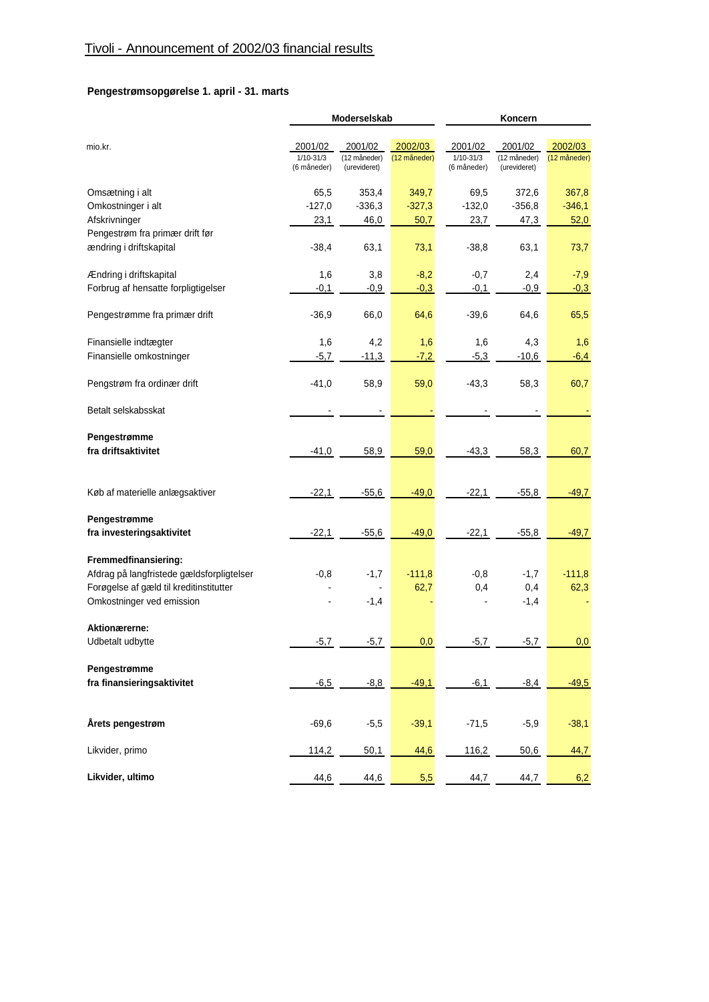# **Pengestrømsopgørelse 1. april - 31. marts**

|                                           |                | Moderselskab |              | Koncern       |              |              |  |
|-------------------------------------------|----------------|--------------|--------------|---------------|--------------|--------------|--|
|                                           |                |              |              |               |              |              |  |
| mio.kr.                                   | 2001/02        | 2001/02      | 2002/03      | 2001/02       | 2001/02      | 2002/03      |  |
|                                           | $1/10 - 31/3$  | (12 måneder) | (12 måneder) | $1/10 - 31/3$ | (12 måneder) | (12 måneder) |  |
|                                           | (6 måneder)    | (urevideret) |              | (6 måneder)   | (urevideret) |              |  |
| Omsætning i alt                           | 65,5           | 353,4        | 349,7        | 69,5          | 372,6        | 367,8        |  |
| Omkostninger i alt                        | $-127,0$       | $-336,3$     | $-327,3$     | $-132,0$      | $-356,8$     | $-346,1$     |  |
| Afskrivninger                             | 23,1           | 46,0         | 50,7         | 23,7          | 47,3         | 52,0         |  |
| Pengestrøm fra primær drift før           |                |              |              |               |              |              |  |
| ændring i driftskapital                   | $-38,4$        | 63,1         | 73,1         | $-38,8$       | 63,1         | 73,7         |  |
|                                           |                |              |              |               |              |              |  |
| Ændring i driftskapital                   | 1,6            | 3,8          | $-8,2$       | $-0,7$        | 2,4          | $-7,9$       |  |
| Forbrug af hensatte forpligtigelser       | $-0,1$         | $-0,9$       | $-0,3$       | $-0,1$        | $-0,9$       | $-0,3$       |  |
|                                           |                |              |              |               |              |              |  |
| Pengestrømme fra primær drift             | $-36,9$        | 66,0         | 64,6         | $-39,6$       | 64,6         | 65,5         |  |
| Finansielle indtægter                     | 1,6            | 4,2          | 1,6          | 1,6           | 4,3          | 1,6          |  |
| Finansielle omkostninger                  | $-5,7$         | $-11,3$      | $-7,2$       | $-5,3$        | $-10,6$      | $-6,4$       |  |
|                                           |                |              |              |               |              |              |  |
| Pengstrøm fra ordinær drift               | $-41,0$        | 58,9         | 59,0         | $-43,3$       | 58,3         | 60,7         |  |
|                                           |                |              |              |               |              |              |  |
| Betalt selskabsskat                       |                |              |              |               |              |              |  |
| Pengestrømme                              |                |              |              |               |              |              |  |
| fra driftsaktivitet                       |                | 58,9         | 59,0         | $-43,3$       | 58,3         | 60,7         |  |
|                                           | $-41,0$        |              |              |               |              |              |  |
|                                           |                |              |              |               |              |              |  |
| Køb af materielle anlægsaktiver           | $-22,1$        | $-55,6$      | $-49,0$      | $-22,1$       | $-55,8$      | $-49,7$      |  |
|                                           |                |              |              |               |              |              |  |
| Pengestrømme                              |                |              |              |               |              |              |  |
| fra investeringsaktivitet                 | $-22,1$        | $-55,6$      | $-49,0$      | $-22,1$       | $-55,8$      | $-49,7$      |  |
| Fremmedfinansiering:                      |                |              |              |               |              |              |  |
| Afdrag på langfristede gældsforpligtelser | $-0,8$         | $-1,7$       | $-111,8$     | $-0,8$        | $-1,7$       | $-111,8$     |  |
| Forøgelse af gæld til kreditinstitutter   |                |              | 62,7         | 0,4           | 0,4          | 62,3         |  |
| Omkostninger ved emission                 | $\blacksquare$ | $-1,4$       |              |               | $-1,4$       |              |  |
|                                           |                |              |              |               |              |              |  |
| Aktionærerne:                             |                |              |              |               |              |              |  |
| Udbetalt udbytte                          | $-5,7$         | $-5,7$       | 0,0          | $-5,7$        | $-5,7$       | 0,0          |  |
|                                           |                |              |              |               |              |              |  |
| Pengestrømme                              |                |              |              |               |              |              |  |
| fra finansieringsaktivitet                | $-6,5$         | $-8,8$       | $-49,1$      | $-6,1$        | $-8,4$       | $-49,5$      |  |
|                                           |                |              |              |               |              |              |  |
| Årets pengestrøm                          | $-69,6$        | $-5,5$       | $-39,1$      | $-71,5$       | $-5,9$       | $-38,1$      |  |
|                                           |                |              |              |               |              |              |  |
| Likvider, primo                           | 114,2          | 50,1         | 44,6         | 116,2         | 50,6         | 44,7         |  |
| Likvider, ultimo                          | 44,6           | 44,6         | 5,5          | 44,7          | 44,7         | 6,2          |  |
|                                           |                |              |              |               |              |              |  |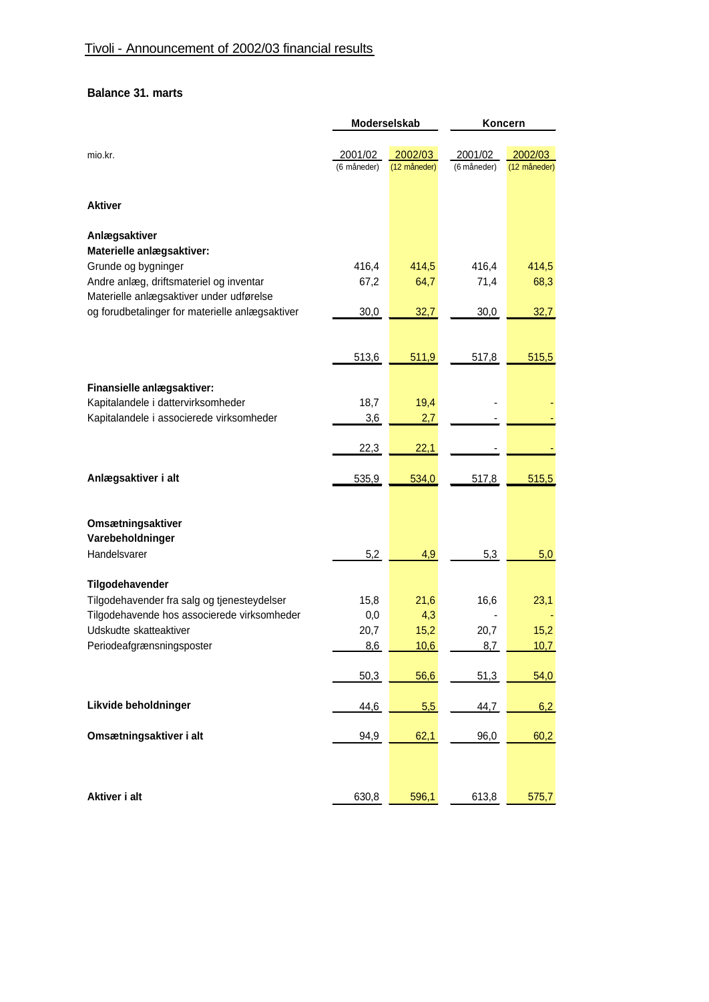# **Balance 31. marts**

|                                                                                                              | Moderselskab           |                         | Koncern                |                         |  |
|--------------------------------------------------------------------------------------------------------------|------------------------|-------------------------|------------------------|-------------------------|--|
| mio.kr.                                                                                                      | 2001/02<br>(6 måneder) | 2002/03<br>(12 måneder) | 2001/02<br>(6 måneder) | 2002/03<br>(12 måneder) |  |
| <b>Aktiver</b>                                                                                               |                        |                         |                        |                         |  |
| Anlægsaktiver<br>Materielle anlægsaktiver:                                                                   |                        |                         |                        |                         |  |
| Grunde og bygninger<br>Andre anlæg, driftsmateriel og inventar<br>Materielle anlægsaktiver under udførelse   | 416,4<br>67,2          | 414,5<br>64,7           | 416,4<br>71,4          | 414,5<br>68,3           |  |
| og forudbetalinger for materielle anlægsaktiver                                                              | 30,0                   | 32,7                    | 30,0                   | 32,7                    |  |
|                                                                                                              | 513,6                  | 511,9                   | 517,8                  | 515,5                   |  |
| Finansielle anlægsaktiver:<br>Kapitalandele i dattervirksomheder<br>Kapitalandele i associerede virksomheder | 18,7<br>3,6            | 19,4<br>2,7             |                        |                         |  |
|                                                                                                              | 22,3                   | 22,1                    |                        |                         |  |
| Anlægsaktiver i alt                                                                                          | 535,9                  | 534,0                   | 517,8                  | 515,5                   |  |
| Omsætningsaktiver<br>Varebeholdninger                                                                        |                        |                         |                        |                         |  |
| Handelsvarer                                                                                                 | 5,2                    | 4,9                     | 5,3                    | 5,0                     |  |
| Tilgodehavender<br>Tilgodehavender fra salg og tjenesteydelser                                               | 15,8                   | 21,6                    | 16,6                   | 23,1                    |  |
| Tilgodehavende hos associerede virksomheder<br>Udskudte skatteaktiver                                        | 0,0<br>20,7            | 4,3<br>15,2             | 20,7                   | 15,2                    |  |
| Periodeafgrænsningsposter                                                                                    | 8,6                    | 10,6                    | 8,7                    | 10,7                    |  |
| Likvide beholdninger                                                                                         | 50,3                   | 56,6                    | 51,3                   | 54,0                    |  |
| Omsætningsaktiver i alt                                                                                      | 44,6<br>94,9           | 5,5<br>62,1             | 44,7<br>96,0           | 6,2<br>60,2             |  |
|                                                                                                              |                        |                         |                        |                         |  |
| Aktiver i alt                                                                                                | 630,8                  | 596,1                   | 613,8                  | 575,7                   |  |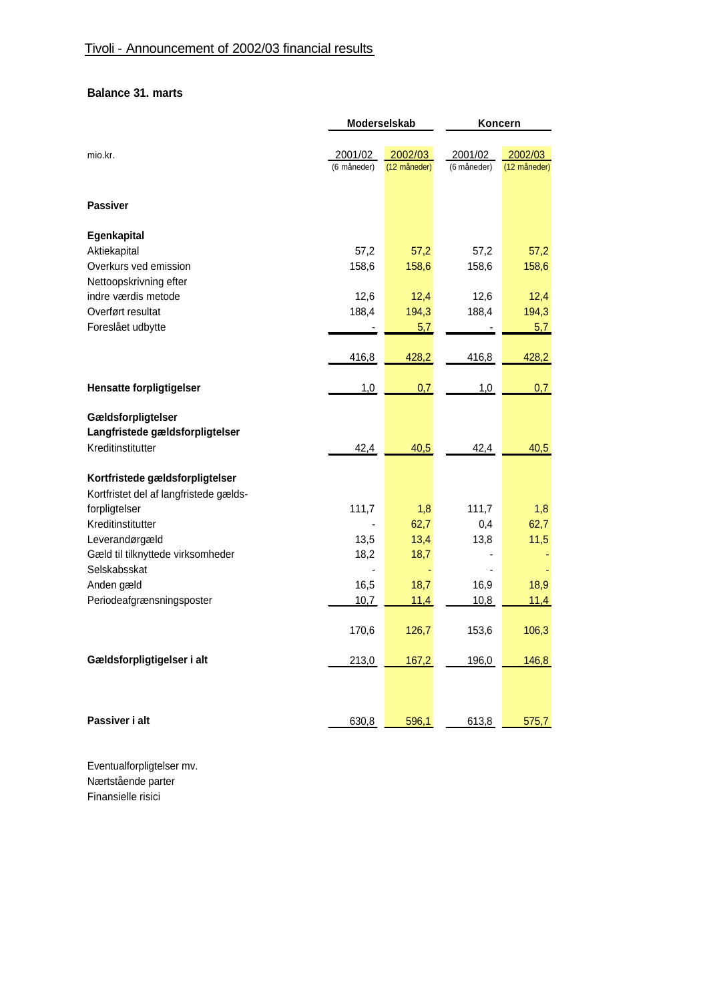# **Balance 31. marts**

|                                          | Moderselskab           |                         | Koncern                |                         |  |
|------------------------------------------|------------------------|-------------------------|------------------------|-------------------------|--|
| mio.kr.                                  | 2001/02<br>(6 måneder) | 2002/03<br>(12 måneder) | 2001/02<br>(6 måneder) | 2002/03<br>(12 måneder) |  |
| <b>Passiver</b>                          |                        |                         |                        |                         |  |
| Egenkapital                              |                        |                         |                        |                         |  |
| Aktiekapital                             | 57,2                   | 57,2                    | 57,2                   | 57,2                    |  |
| Overkurs ved emission                    | 158,6                  | 158,6                   | 158,6                  | 158,6                   |  |
| Nettoopskrivning efter                   |                        |                         |                        |                         |  |
| indre værdis metode<br>Overført resultat | 12,6<br>188,4          | 12,4<br>194,3           | 12,6<br>188,4          | 12,4<br>194,3           |  |
| Foreslået udbytte                        |                        | 5,7                     |                        | 5,7                     |  |
|                                          |                        |                         |                        |                         |  |
|                                          | 416,8                  | 428,2                   | 416,8                  | 428,2                   |  |
| <b>Hensatte forpligtigelser</b>          | 1,0                    | 0,7                     | 1,0                    | 0,7                     |  |
| Gældsforpligtelser                       |                        |                         |                        |                         |  |
| Langfristede gældsforpligtelser          |                        |                         |                        |                         |  |
| Kreditinstitutter                        | 42,4                   | 40,5                    | 42,4                   | 40,5                    |  |
| Kortfristede gældsforpligtelser          |                        |                         |                        |                         |  |
| Kortfristet del af langfristede gælds-   |                        |                         |                        |                         |  |
| forpligtelser                            | 111,7                  | 1,8                     | 111,7                  | 1,8                     |  |
| Kreditinstitutter                        |                        | 62,7                    | 0,4                    | 62,7                    |  |
| Leverandørgæld                           | 13,5                   | 13,4                    | 13,8                   | 11,5                    |  |
| Gæld til tilknyttede virksomheder        | 18,2                   | 18,7                    |                        |                         |  |
| Selskabsskat<br>Anden gæld               | 16,5                   | 18,7                    | 16,9                   | 18,9                    |  |
| Periodeafgrænsningsposter                | 10,7                   | 11,4                    | 10,8                   | 11,4                    |  |
|                                          |                        |                         |                        |                         |  |
|                                          | 170,6                  | 126,7                   | 153,6                  | 106,3                   |  |
| Gældsforpligtigelser i alt               | 213,0                  | 167,2                   | 196,0                  | 146,8                   |  |
|                                          |                        |                         |                        |                         |  |
| Passiver i alt                           | 630,8                  | 596,1                   | 613,8                  | 575,7                   |  |

Eventualforpligtelser mv. Nærtstående parter Finansielle risici